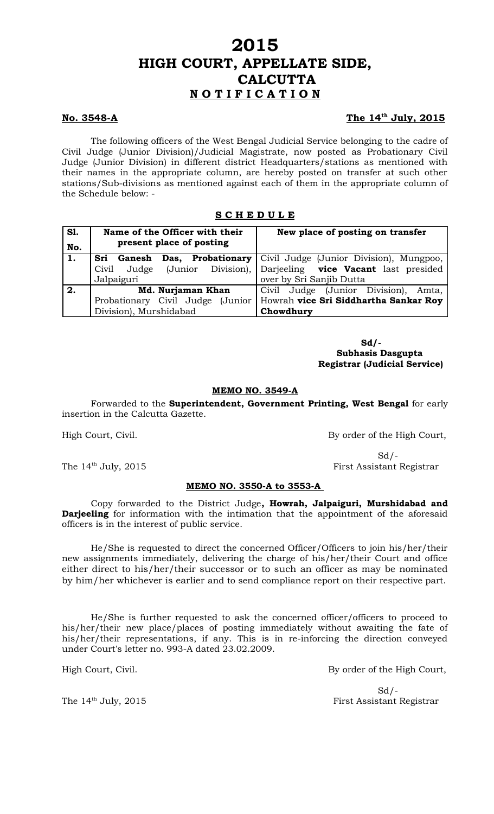# **2015 HIGH COURT, APPELLATE SIDE, CALCUTTA N O T I F I C A T I O N**

# **No. 3548-A**

# The 14<sup>th</sup> July, 2015

The following officers of the West Bengal Judicial Service belonging to the cadre of Civil Judge (Junior Division)/Judicial Magistrate, now posted as Probationary Civil Judge (Junior Division) in different district Headquarters/stations as mentioned with their names in the appropriate column, are hereby posted on transfer at such other stations/Sub-divisions as mentioned against each of them in the appropriate column of the Schedule below: -

# **S C H E D U L E**

| <b>S1.</b> | Name of the Officer with their<br>present place of posting | New place of posting on transfer                                 |
|------------|------------------------------------------------------------|------------------------------------------------------------------|
| No.        |                                                            |                                                                  |
| 1.         | Sri Ganesh                                                 | <b>Das, Probationary</b> Civil Judge (Junior Division), Mungpoo, |
|            | Civil<br>Judge                                             | (Junior Division), Darjeeling <b>vice Vacant</b> last presided   |
|            | Jalpaiguri                                                 | over by Sri Sanjib Dutta                                         |
| 2.         | Md. Nurjaman Khan                                          | Civil Judge (Junior Division), Amta,                             |
|            | Probationary Civil Judge (Junior                           | Howrah vice Sri Siddhartha Sankar Roy                            |
|            | Division), Murshidabad                                     | Chowdhury                                                        |

 **Sd/- Subhasis Dasgupta Registrar (Judicial Service)**

#### **MEMO NO. 3549-A**

Forwarded to the **Superintendent, Government Printing, West Bengal** for early insertion in the Calcutta Gazette.

### **MEMO NO. 3550-A to 3553-A**

Copy forwarded to the District Judge**, Howrah, Jalpaiguri, Murshidabad and Darjeeling** for information with the intimation that the appointment of the aforesaid officers is in the interest of public service.

He/She is requested to direct the concerned Officer/Officers to join his/her/their new assignments immediately, delivering the charge of his/her/their Court and office either direct to his/her/their successor or to such an officer as may be nominated by him/her whichever is earlier and to send compliance report on their respective part.

He/She is further requested to ask the concerned officer/officers to proceed to his/her/their new place/places of posting immediately without awaiting the fate of his/her/their representations, if any. This is in re-inforcing the direction conveyed under Court's letter no. 993-A dated 23.02.2009.

High Court, Civil. By order of the High Court,

 $Sd$  /-The 14<sup>th</sup> July, 2015 First Assistant Registrar

High Court, Civil. By order of the High Court,

 $Sd$  /-The 14<sup>th</sup> July, 2015 First Assistant Registrar